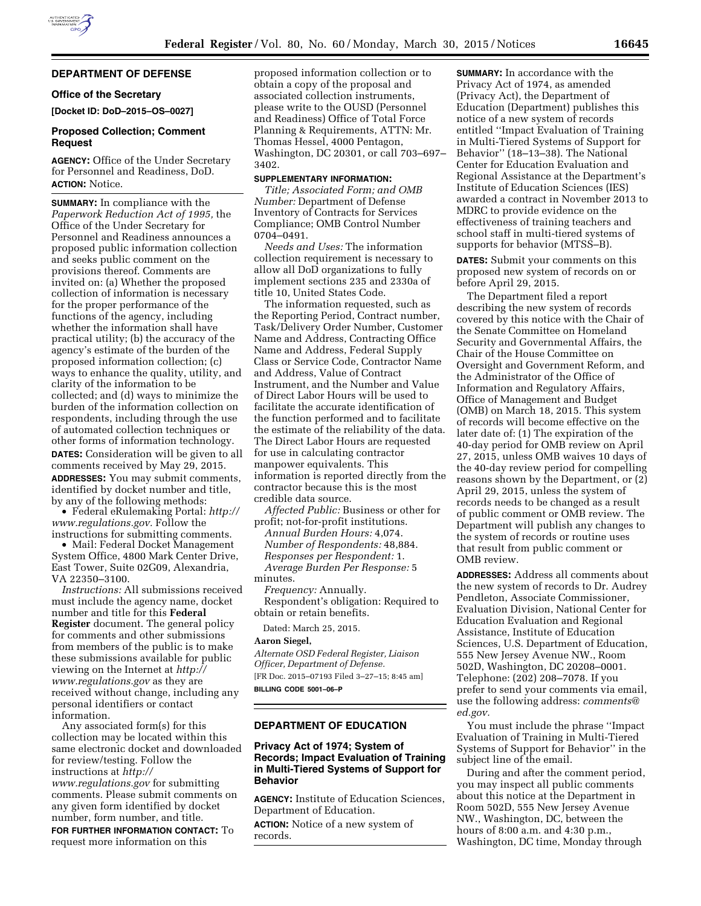### **DEPARTMENT OF DEFENSE**

### **Office of the Secretary**

**[Docket ID: DoD–2015–OS–0027]** 

# **Proposed Collection; Comment Request**

**AGENCY:** Office of the Under Secretary for Personnel and Readiness, DoD. **ACTION:** Notice.

**SUMMARY:** In compliance with the *Paperwork Reduction Act of 1995,* the Office of the Under Secretary for Personnel and Readiness announces a proposed public information collection and seeks public comment on the provisions thereof. Comments are invited on: (a) Whether the proposed collection of information is necessary for the proper performance of the functions of the agency, including whether the information shall have practical utility; (b) the accuracy of the agency's estimate of the burden of the proposed information collection; (c) ways to enhance the quality, utility, and clarity of the information to be collected; and (d) ways to minimize the burden of the information collection on respondents, including through the use of automated collection techniques or other forms of information technology. **DATES:** Consideration will be given to all comments received by May 29, 2015.

**ADDRESSES:** You may submit comments, identified by docket number and title, by any of the following methods:

• Federal eRulemaking Portal: *[http://](http://www.regulations.gov) [www.regulations.gov.](http://www.regulations.gov)* Follow the instructions for submitting comments.

• Mail: Federal Docket Management System Office, 4800 Mark Center Drive, East Tower, Suite 02G09, Alexandria, VA 22350–3100.

*Instructions:* All submissions received must include the agency name, docket number and title for this **Federal Register** document. The general policy for comments and other submissions from members of the public is to make these submissions available for public viewing on the Internet at *[http://](http://www.regulations.gov) [www.regulations.gov](http://www.regulations.gov)* as they are received without change, including any personal identifiers or contact information.

Any associated form(s) for this collection may be located within this same electronic docket and downloaded for review/testing. Follow the instructions at *[http://](http://www.regulations.gov) [www.regulations.gov](http://www.regulations.gov)* for submitting comments. Please submit comments on any given form identified by docket number, form number, and title. **FOR FURTHER INFORMATION CONTACT:** To request more information on this

proposed information collection or to obtain a copy of the proposal and associated collection instruments, please write to the OUSD (Personnel and Readiness) Office of Total Force Planning & Requirements, ATTN: Mr. Thomas Hessel, 4000 Pentagon, Washington, DC 20301, or call 703–697– 3402.

#### **SUPPLEMENTARY INFORMATION:**

*Title; Associated Form; and OMB Number:* Department of Defense Inventory of Contracts for Services Compliance; OMB Control Number 0704–0491.

*Needs and Uses:* The information collection requirement is necessary to allow all DoD organizations to fully implement sections 235 and 2330a of title 10, United States Code.

The information requested, such as the Reporting Period, Contract number, Task/Delivery Order Number, Customer Name and Address, Contracting Office Name and Address, Federal Supply Class or Service Code, Contractor Name and Address, Value of Contract Instrument, and the Number and Value of Direct Labor Hours will be used to facilitate the accurate identification of the function performed and to facilitate the estimate of the reliability of the data. The Direct Labor Hours are requested for use in calculating contractor manpower equivalents. This information is reported directly from the contractor because this is the most credible data source.

*Affected Public:* Business or other for profit; not-for-profit institutions.

*Annual Burden Hours:* 4,074. *Number of Respondents:* 48,884. *Responses per Respondent:* 1. *Average Burden Per Response:* 5 minutes.

*Frequency:* Annually. Respondent's obligation: Required to obtain or retain benefits.

Dated: March 25, 2015.

# **Aaron Siegel,**

*Alternate OSD Federal Register, Liaison Officer, Department of Defense.* 

[FR Doc. 2015–07193 Filed 3–27–15; 8:45 am] **BILLING CODE 5001–06–P** 

#### **DEPARTMENT OF EDUCATION**

# **Privacy Act of 1974; System of Records; Impact Evaluation of Training in Multi-Tiered Systems of Support for Behavior**

**AGENCY:** Institute of Education Sciences, Department of Education.

**ACTION:** Notice of a new system of records.

**SUMMARY:** In accordance with the Privacy Act of 1974, as amended (Privacy Act), the Department of Education (Department) publishes this notice of a new system of records entitled ''Impact Evaluation of Training in Multi-Tiered Systems of Support for Behavior'' (18–13–38). The National Center for Education Evaluation and Regional Assistance at the Department's Institute of Education Sciences (IES) awarded a contract in November 2013 to MDRC to provide evidence on the effectiveness of training teachers and school staff in multi-tiered systems of supports for behavior (MTSS–B).

**DATES:** Submit your comments on this proposed new system of records on or before April 29, 2015.

The Department filed a report describing the new system of records covered by this notice with the Chair of the Senate Committee on Homeland Security and Governmental Affairs, the Chair of the House Committee on Oversight and Government Reform, and the Administrator of the Office of Information and Regulatory Affairs, Office of Management and Budget (OMB) on March 18, 2015. This system of records will become effective on the later date of: (1) The expiration of the 40-day period for OMB review on April 27, 2015, unless OMB waives 10 days of the 40-day review period for compelling reasons shown by the Department, or (2) April 29, 2015, unless the system of records needs to be changed as a result of public comment or OMB review. The Department will publish any changes to the system of records or routine uses that result from public comment or OMB review.

**ADDRESSES:** Address all comments about the new system of records to Dr. Audrey Pendleton, Associate Commissioner, Evaluation Division, National Center for Education Evaluation and Regional Assistance, Institute of Education Sciences, U.S. Department of Education, 555 New Jersey Avenue NW., Room 502D, Washington, DC 20208–0001. Telephone: (202) 208–7078. If you prefer to send your comments via email, use the following address: *[comments@](mailto:comments@ed.gov) [ed.gov.](mailto:comments@ed.gov)* 

You must include the phrase ''Impact Evaluation of Training in Multi-Tiered Systems of Support for Behavior'' in the subject line of the email.

During and after the comment period, you may inspect all public comments about this notice at the Department in Room 502D, 555 New Jersey Avenue NW., Washington, DC, between the hours of 8:00 a.m. and 4:30 p.m., Washington, DC time, Monday through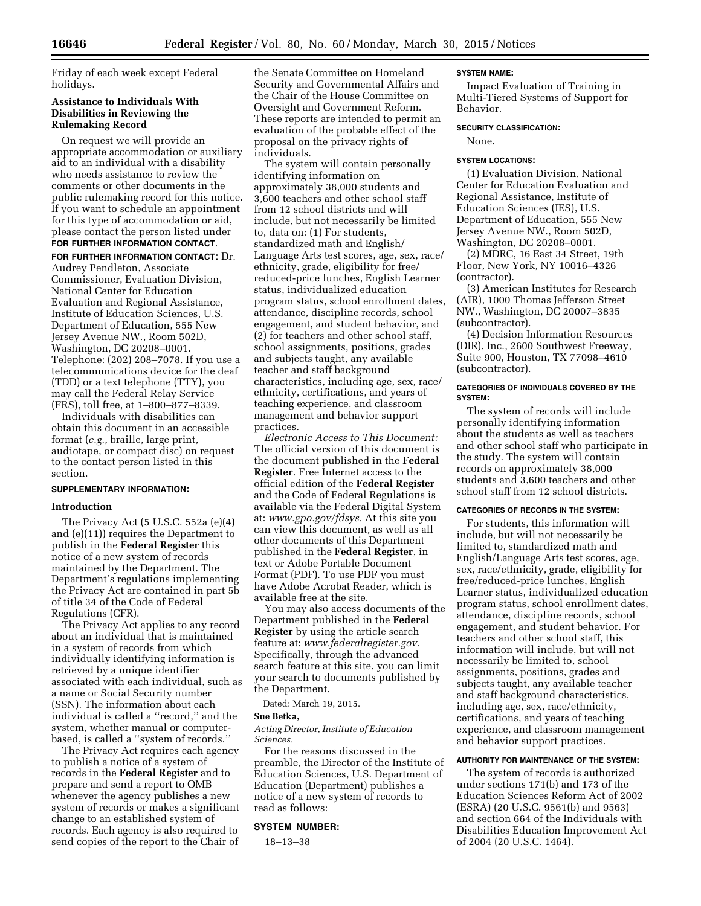Friday of each week except Federal holidays.

### **Assistance to Individuals With Disabilities in Reviewing the Rulemaking Record**

On request we will provide an appropriate accommodation or auxiliary aid to an individual with a disability who needs assistance to review the comments or other documents in the public rulemaking record for this notice. If you want to schedule an appointment for this type of accommodation or aid, please contact the person listed under **FOR FURTHER INFORMATION CONTACT**.

**FOR FURTHER INFORMATION CONTACT:** Dr. Audrey Pendleton, Associate Commissioner, Evaluation Division, National Center for Education Evaluation and Regional Assistance, Institute of Education Sciences, U.S. Department of Education, 555 New Jersey Avenue NW., Room 502D, Washington, DC 20208–0001. Telephone: (202) 208–7078. If you use a telecommunications device for the deaf (TDD) or a text telephone (TTY), you may call the Federal Relay Service (FRS), toll free, at 1–800–877–8339.

Individuals with disabilities can obtain this document in an accessible format (*e.g.*, braille, large print, audiotape, or compact disc) on request to the contact person listed in this section.

# **SUPPLEMENTARY INFORMATION:**

### **Introduction**

The Privacy Act (5 U.S.C. 552a (e)(4) and (e)(11)) requires the Department to publish in the **Federal Register** this notice of a new system of records maintained by the Department. The Department's regulations implementing the Privacy Act are contained in part 5b of title 34 of the Code of Federal Regulations (CFR).

The Privacy Act applies to any record about an individual that is maintained in a system of records from which individually identifying information is retrieved by a unique identifier associated with each individual, such as a name or Social Security number (SSN). The information about each individual is called a ''record,'' and the system, whether manual or computerbased, is called a ''system of records.''

The Privacy Act requires each agency to publish a notice of a system of records in the **Federal Register** and to prepare and send a report to OMB whenever the agency publishes a new system of records or makes a significant change to an established system of records. Each agency is also required to send copies of the report to the Chair of

the Senate Committee on Homeland Security and Governmental Affairs and the Chair of the House Committee on Oversight and Government Reform. These reports are intended to permit an evaluation of the probable effect of the proposal on the privacy rights of individuals.

The system will contain personally identifying information on approximately 38,000 students and 3,600 teachers and other school staff from 12 school districts and will include, but not necessarily be limited to, data on: (1) For students, standardized math and English/ Language Arts test scores, age, sex, race/ ethnicity, grade, eligibility for free/ reduced-price lunches, English Learner status, individualized education program status, school enrollment dates, attendance, discipline records, school engagement, and student behavior, and (2) for teachers and other school staff, school assignments, positions, grades and subjects taught, any available teacher and staff background characteristics, including age, sex, race/ ethnicity, certifications, and years of teaching experience, and classroom management and behavior support practices.

*Electronic Access to This Document:*  The official version of this document is the document published in the **Federal Register**. Free Internet access to the official edition of the **Federal Register**  and the Code of Federal Regulations is available via the Federal Digital System at: *[www.gpo.gov/fdsys.](http://www.gpo.gov/fdsys)* At this site you can view this document, as well as all other documents of this Department published in the **Federal Register**, in text or Adobe Portable Document Format (PDF). To use PDF you must have Adobe Acrobat Reader, which is available free at the site.

You may also access documents of the Department published in the **Federal Register** by using the article search feature at: *[www.federalregister.gov](http://www.federalregister.gov)*. Specifically, through the advanced search feature at this site, you can limit your search to documents published by the Department.

Dated: March 19, 2015.

### **Sue Betka,**

*Acting Director, Institute of Education Sciences.* 

For the reasons discussed in the preamble, the Director of the Institute of Education Sciences, U.S. Department of Education (Department) publishes a notice of a new system of records to read as follows:

#### **SYSTEM NUMBER:**

18–13–38

#### **SYSTEM NAME:**

Impact Evaluation of Training in Multi-Tiered Systems of Support for Behavior.

#### **SECURITY CLASSIFICATION:**

None.

#### **SYSTEM LOCATIONS:**

(1) Evaluation Division, National Center for Education Evaluation and Regional Assistance, Institute of Education Sciences (IES), U.S. Department of Education, 555 New Jersey Avenue NW., Room 502D, Washington, DC 20208–0001.

(2) MDRC, 16 East 34 Street, 19th Floor, New York, NY 10016–4326 (contractor).

(3) American Institutes for Research (AIR), 1000 Thomas Jefferson Street NW., Washington, DC 20007–3835 (subcontractor).

(4) Decision Information Resources (DIR), Inc., 2600 Southwest Freeway, Suite 900, Houston, TX 77098–4610 (subcontractor).

### **CATEGORIES OF INDIVIDUALS COVERED BY THE SYSTEM:**

The system of records will include personally identifying information about the students as well as teachers and other school staff who participate in the study. The system will contain records on approximately 38,000 students and 3,600 teachers and other school staff from 12 school districts.

### **CATEGORIES OF RECORDS IN THE SYSTEM:**

For students, this information will include, but will not necessarily be limited to, standardized math and English/Language Arts test scores, age, sex, race/ethnicity, grade, eligibility for free/reduced-price lunches, English Learner status, individualized education program status, school enrollment dates, attendance, discipline records, school engagement, and student behavior. For teachers and other school staff, this information will include, but will not necessarily be limited to, school assignments, positions, grades and subjects taught, any available teacher and staff background characteristics, including age, sex, race/ethnicity, certifications, and years of teaching experience, and classroom management and behavior support practices.

# **AUTHORITY FOR MAINTENANCE OF THE SYSTEM:**

The system of records is authorized under sections 171(b) and 173 of the Education Sciences Reform Act of 2002 (ESRA) (20 U.S.C. 9561(b) and 9563) and section 664 of the Individuals with Disabilities Education Improvement Act of 2004 (20 U.S.C. 1464).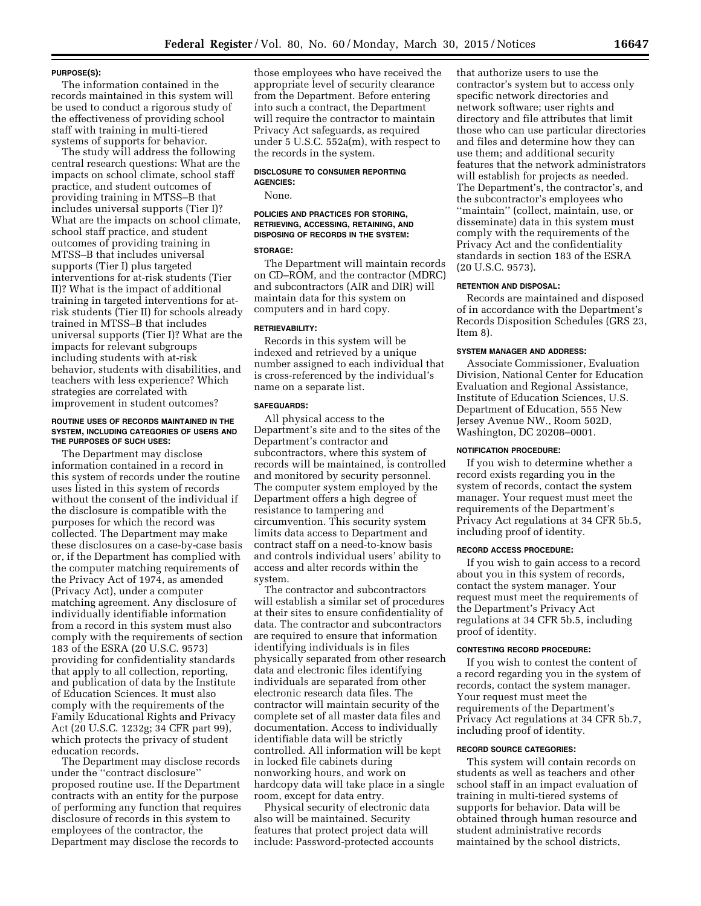#### **PURPOSE(S):**

The information contained in the records maintained in this system will be used to conduct a rigorous study of the effectiveness of providing school staff with training in multi-tiered systems of supports for behavior.

The study will address the following central research questions: What are the impacts on school climate, school staff practice, and student outcomes of providing training in MTSS–B that includes universal supports (Tier I)? What are the impacts on school climate, school staff practice, and student outcomes of providing training in MTSS–B that includes universal supports (Tier I) plus targeted interventions for at-risk students (Tier II)? What is the impact of additional training in targeted interventions for atrisk students (Tier II) for schools already trained in MTSS–B that includes universal supports (Tier I)? What are the impacts for relevant subgroups including students with at-risk behavior, students with disabilities, and teachers with less experience? Which strategies are correlated with improvement in student outcomes?

#### **ROUTINE USES OF RECORDS MAINTAINED IN THE SYSTEM, INCLUDING CATEGORIES OF USERS AND THE PURPOSES OF SUCH USES:**

The Department may disclose information contained in a record in this system of records under the routine uses listed in this system of records without the consent of the individual if the disclosure is compatible with the purposes for which the record was collected. The Department may make these disclosures on a case-by-case basis or, if the Department has complied with the computer matching requirements of the Privacy Act of 1974, as amended (Privacy Act), under a computer matching agreement. Any disclosure of individually identifiable information from a record in this system must also comply with the requirements of section 183 of the ESRA (20 U.S.C. 9573) providing for confidentiality standards that apply to all collection, reporting, and publication of data by the Institute of Education Sciences. It must also comply with the requirements of the Family Educational Rights and Privacy Act (20 U.S.C. 1232g; 34 CFR part 99), which protects the privacy of student education records.

The Department may disclose records under the ''contract disclosure'' proposed routine use. If the Department contracts with an entity for the purpose of performing any function that requires disclosure of records in this system to employees of the contractor, the Department may disclose the records to

those employees who have received the appropriate level of security clearance from the Department. Before entering into such a contract, the Department will require the contractor to maintain Privacy Act safeguards, as required under 5 U.S.C. 552a(m), with respect to the records in the system.

### **DISCLOSURE TO CONSUMER REPORTING AGENCIES:**

None.

# **POLICIES AND PRACTICES FOR STORING, RETRIEVING, ACCESSING, RETAINING, AND DISPOSING OF RECORDS IN THE SYSTEM:**

# **STORAGE:**

The Department will maintain records on CD–ROM, and the contractor (MDRC) and subcontractors (AIR and DIR) will maintain data for this system on computers and in hard copy.

#### **RETRIEVABILITY:**

Records in this system will be indexed and retrieved by a unique number assigned to each individual that is cross-referenced by the individual's name on a separate list.

#### **SAFEGUARDS:**

All physical access to the Department's site and to the sites of the Department's contractor and subcontractors, where this system of records will be maintained, is controlled and monitored by security personnel. The computer system employed by the Department offers a high degree of resistance to tampering and circumvention. This security system limits data access to Department and contract staff on a need-to-know basis and controls individual users' ability to access and alter records within the system.

The contractor and subcontractors will establish a similar set of procedures at their sites to ensure confidentiality of data. The contractor and subcontractors are required to ensure that information identifying individuals is in files physically separated from other research data and electronic files identifying individuals are separated from other electronic research data files. The contractor will maintain security of the complete set of all master data files and documentation. Access to individually identifiable data will be strictly controlled. All information will be kept in locked file cabinets during nonworking hours, and work on hardcopy data will take place in a single room, except for data entry.

Physical security of electronic data also will be maintained. Security features that protect project data will include: Password-protected accounts that authorize users to use the contractor's system but to access only specific network directories and network software; user rights and directory and file attributes that limit those who can use particular directories and files and determine how they can use them; and additional security features that the network administrators will establish for projects as needed. The Department's, the contractor's, and the subcontractor's employees who ''maintain'' (collect, maintain, use, or disseminate) data in this system must comply with the requirements of the Privacy Act and the confidentiality standards in section 183 of the ESRA (20 U.S.C. 9573).

#### **RETENTION AND DISPOSAL:**

Records are maintained and disposed of in accordance with the Department's Records Disposition Schedules (GRS 23, Item 8).

### **SYSTEM MANAGER AND ADDRESS:**

Associate Commissioner, Evaluation Division, National Center for Education Evaluation and Regional Assistance, Institute of Education Sciences, U.S. Department of Education, 555 New Jersey Avenue NW., Room 502D, Washington, DC 20208–0001.

#### **NOTIFICATION PROCEDURE:**

If you wish to determine whether a record exists regarding you in the system of records, contact the system manager. Your request must meet the requirements of the Department's Privacy Act regulations at 34 CFR 5b.5, including proof of identity.

#### **RECORD ACCESS PROCEDURE:**

If you wish to gain access to a record about you in this system of records, contact the system manager. Your request must meet the requirements of the Department's Privacy Act regulations at 34 CFR 5b.5, including proof of identity.

#### **CONTESTING RECORD PROCEDURE:**

If you wish to contest the content of a record regarding you in the system of records, contact the system manager. Your request must meet the requirements of the Department's Privacy Act regulations at 34 CFR 5b.7, including proof of identity.

# **RECORD SOURCE CATEGORIES:**

This system will contain records on students as well as teachers and other school staff in an impact evaluation of training in multi-tiered systems of supports for behavior. Data will be obtained through human resource and student administrative records maintained by the school districts,